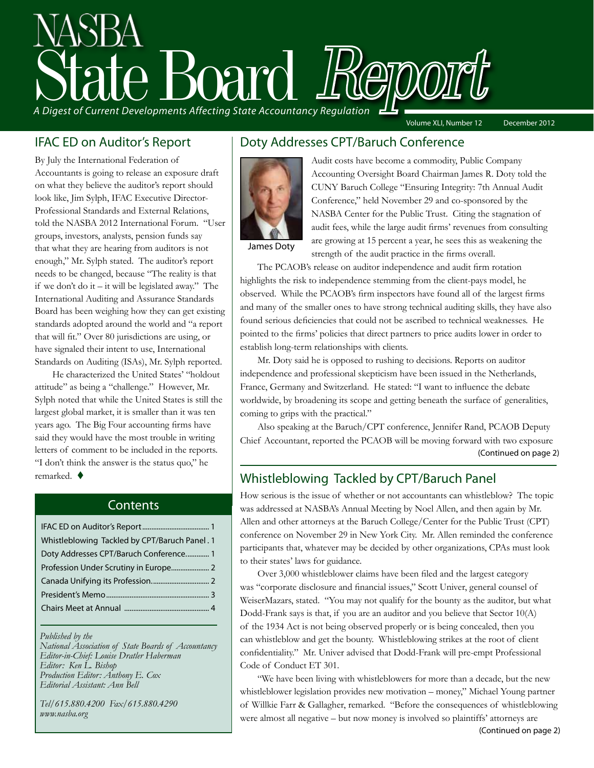# A Digest of Current Developments Affecting State Accountancy Regulation Volume XLI, Number 12 December 2012

IFAC ED on Auditor's Report

By July the International Federation of Accountants is going to release an exposure draft on what they believe the auditor's report should look like, Jim Sylph, IFAC Executive Director-Professional Standards and External Relations, told the NASBA 2012 International Forum. "User groups, investors, analysts, pension funds say that what they are hearing from auditors is not enough," Mr. Sylph stated. The auditor's report needs to be changed, because "The reality is that if we don't do it – it will be legislated away." The International Auditing and Assurance Standards Board has been weighing how they can get existing standards adopted around the world and "a report that will fit." Over 80 jurisdictions are using, or have signaled their intent to use, International Standards on Auditing (ISAs), Mr. Sylph reported.

He characterized the United States' "holdout attitude" as being a "challenge." However, Mr. Sylph noted that while the United States is still the largest global market, it is smaller than it was ten years ago. The Big Four accounting firms have said they would have the most trouble in writing letters of comment to be included in the reports. "I don't think the answer is the status quo," he remarked.  $\blacklozenge$ 

#### **Contents**

| Whistleblowing Tackled by CPT/Baruch Panel. 1 |
|-----------------------------------------------|
| Doty Addresses CPT/Baruch Conference 1        |
|                                               |
|                                               |
|                                               |
|                                               |
|                                               |

#### *Published by the*

*National Association of State Boards of Accountancy Editor-in-Chief: Louise Dratler Haberman Editor: Ken L. Bishop Production Editor: Anthony E. Cox Editorial Assistant: Ann Bell* 

*Tel/615.880.4200 Fax/615.880.4290 www.nasba.org*

#### Doty Addresses CPT/Baruch Conference



Audit costs have become a commodity, Public Company Accounting Oversight Board Chairman James R. Doty told the CUNY Baruch College "Ensuring Integrity: 7th Annual Audit Conference," held November 29 and co-sponsored by the NASBA Center for the Public Trust. Citing the stagnation of audit fees, while the large audit firms' revenues from consulting are growing at 15 percent a year, he sees this as weakening the strength of the audit practice in the firms overall.

James Doty

The PCAOB's release on auditor independence and audit firm rotation highlights the risk to independence stemming from the client-pays model, he observed. While the PCAOB's firm inspectors have found all of the largest firms and many of the smaller ones to have strong technical auditing skills, they have also found serious deficiencies that could not be ascribed to technical weaknesses. He pointed to the firms' policies that direct partners to price audits lower in order to establish long-term relationships with clients.

Mr. Doty said he is opposed to rushing to decisions. Reports on auditor independence and professional skepticism have been issued in the Netherlands, France, Germany and Switzerland. He stated: "I want to influence the debate worldwide, by broadening its scope and getting beneath the surface of generalities, coming to grips with the practical."

Also speaking at the Baruch/CPT conference, Jennifer Rand, PCAOB Deputy Chief Accountant, reported the PCAOB will be moving forward with two exposure (Continued on page 2)

#### Whistleblowing Tackled by CPT/Baruch Panel

How serious is the issue of whether or not accountants can whistleblow? The topic was addressed at NASBA's Annual Meeting by Noel Allen, and then again by Mr. Allen and other attorneys at the Baruch College/Center for the Public Trust (CPT) conference on November 29 in New York City. Mr. Allen reminded the conference participants that, whatever may be decided by other organizations, CPAs must look to their states' laws for guidance.

Over 3,000 whistleblower claims have been filed and the largest category was "corporate disclosure and financial issues," Scott Univer, general counsel of WeiserMazars, stated. "You may not qualify for the bounty as the auditor, but what Dodd-Frank says is that, if you are an auditor and you believe that Sector 10(A) of the 1934 Act is not being observed properly or is being concealed, then you can whistleblow and get the bounty. Whistleblowing strikes at the root of client confidentiality." Mr. Univer advised that Dodd-Frank will pre-empt Professional Code of Conduct ET 301.

"We have been living with whistleblowers for more than a decade, but the new whistleblower legislation provides new motivation – money," Michael Young partner of Willkie Farr & Gallagher, remarked. "Before the consequences of whistleblowing were almost all negative – but now money is involved so plaintiffs' attorneys are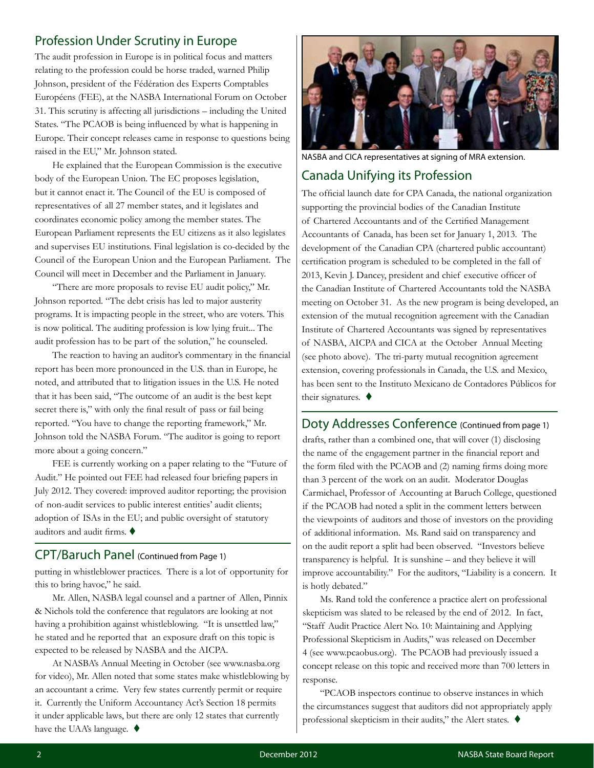#### Profession Under Scrutiny in Europe

The audit profession in Europe is in political focus and matters relating to the profession could be horse traded, warned Philip Johnson, president of the Fédération des Experts Comptables Européens (FEE), at the NASBA International Forum on October 31. This scrutiny is affecting all jurisdictions – including the United States. "The PCAOB is being influenced by what is happening in Europe. Their concept releases came in response to questions being raised in the EU," Mr. Johnson stated.

He explained that the European Commission is the executive body of the European Union. The EC proposes legislation, but it cannot enact it. The Council of the EU is composed of representatives of all 27 member states, and it legislates and coordinates economic policy among the member states. The European Parliament represents the EU citizens as it also legislates and supervises EU institutions. Final legislation is co-decided by the Council of the European Union and the European Parliament. The Council will meet in December and the Parliament in January.

"There are more proposals to revise EU audit policy," Mr. Johnson reported. "The debt crisis has led to major austerity programs. It is impacting people in the street, who are voters. This is now political. The auditing profession is low lying fruit... The audit profession has to be part of the solution," he counseled.

The reaction to having an auditor's commentary in the financial report has been more pronounced in the U.S. than in Europe, he noted, and attributed that to litigation issues in the U.S. He noted that it has been said, "The outcome of an audit is the best kept secret there is," with only the final result of pass or fail being reported. "You have to change the reporting framework," Mr. Johnson told the NASBA Forum. "The auditor is going to report more about a going concern."

FEE is currently working on a paper relating to the "Future of Audit." He pointed out FEE had released four briefing papers in July 2012. They covered: improved auditor reporting; the provision of non-audit services to public interest entities' audit clients; adoption of ISAs in the EU; and public oversight of statutory auditors and audit firms.  $\blacklozenge$ 

#### CPT/Baruch Panel (Continued from Page 1)

putting in whistleblower practices. There is a lot of opportunity for this to bring havoc," he said.

Mr. Allen, NASBA legal counsel and a partner of Allen, Pinnix & Nichols told the conference that regulators are looking at not having a prohibition against whistleblowing. "It is unsettled law," he stated and he reported that an exposure draft on this topic is expected to be released by NASBA and the AICPA.

At NASBA's Annual Meeting in October (see www.nasba.org for video), Mr. Allen noted that some states make whistleblowing by an accountant a crime. Very few states currently permit or require it. Currently the Uniform Accountancy Act's Section 18 permits it under applicable laws, but there are only 12 states that currently have the UAA's language.  $\blacklozenge$ 



NASBA and CICA representatives at signing of MRA extension.

#### Canada Unifying its Profession

The official launch date for CPA Canada, the national organization supporting the provincial bodies of the Canadian Institute of Chartered Accountants and of the Certified Management Accountants of Canada, has been set for January 1, 2013. The development of the Canadian CPA (chartered public accountant) certification program is scheduled to be completed in the fall of 2013, Kevin J. Dancey, president and chief executive officer of the Canadian Institute of Chartered Accountants told the NASBA meeting on October 31. As the new program is being developed, an extension of the mutual recognition agreement with the Canadian Institute of Chartered Accountants was signed by representatives of NASBA, AICPA and CICA at the October Annual Meeting (see photo above). The tri-party mutual recognition agreement extension, covering professionals in Canada, the U.S. and Mexico, has been sent to the Instituto Mexicano de Contadores Públicos for their signatures.  $\blacklozenge$ 

Doty Addresses Conference (Continued from page 1)

drafts, rather than a combined one, that will cover (1) disclosing the name of the engagement partner in the financial report and the form filed with the PCAOB and (2) naming firms doing more than 3 percent of the work on an audit. Moderator Douglas Carmichael, Professor of Accounting at Baruch College, questioned if the PCAOB had noted a split in the comment letters between the viewpoints of auditors and those of investors on the providing of additional information. Ms. Rand said on transparency and on the audit report a split had been observed. "Investors believe transparency is helpful. It is sunshine – and they believe it will improve accountability." For the auditors, "Liability is a concern. It is hotly debated."

Ms. Rand told the conference a practice alert on professional skepticism was slated to be released by the end of 2012. In fact, "Staff Audit Practice Alert No. 10: Maintaining and Applying Professional Skepticism in Audits," was released on December 4 (see www.pcaobus.org). The PCAOB had previously issued a concept release on this topic and received more than 700 letters in response.

"PCAOB inspectors continue to observe instances in which the circumstances suggest that auditors did not appropriately apply professional skepticism in their audits," the Alert states.  $\blacklozenge$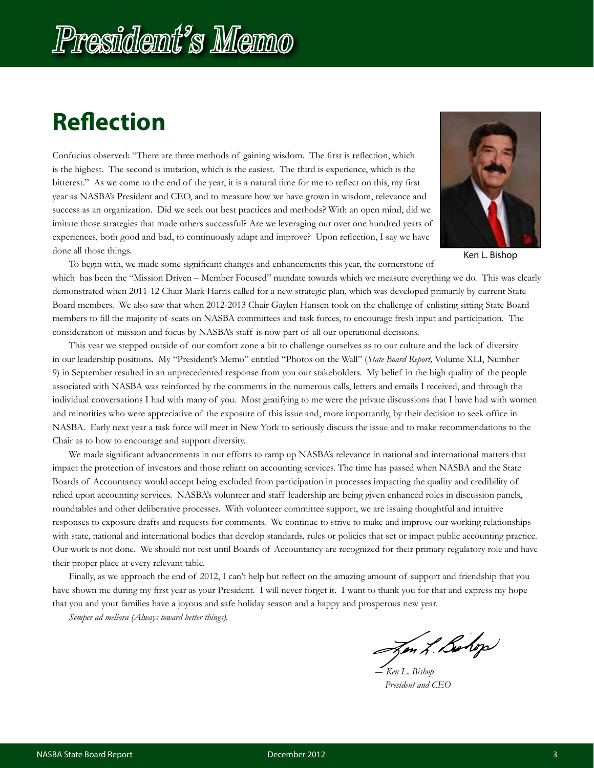## **Reflection**

Confucius observed: "There are three methods of gaining wisdom. The first is reflection, which is the highest. The second is imitation, which is the easiest. The third is experience, which is the bitterest." As we come to the end of the year, it is a natural time for me to reflect on this, my first year as NASBA's President and CEO, and to measure how we have grown in wisdom, relevance and success as an organization. Did we seek out best practices and methods? With an open mind, did we imitate those strategies that made others successful? Are we leveraging our over one hundred years of experiences, both good and bad, to continuously adapt and improve? Upon reflection, I say we have done all those things.



Ken L. Bishop

To begin with, we made some significant changes and enhancements this year, the cornerstone of which has been the "Mission Driven – Member Focused" mandate towards which we measure everything we do. This was clearly demonstrated when 2011-12 Chair Mark Harris called for a new strategic plan, which was developed primarily by current State Board members. We also saw that when 2012-2013 Chair Gaylen Hansen took on the challenge of enlisting sitting State Board members to fill the majority of seats on NASBA committees and task forces, to encourage fresh input and participation. The consideration of mission and focus by NASBA's staff is now part of all our operational decisions.

This year we stepped outside of our comfort zone a bit to challenge ourselves as to our culture and the lack of diversity in our leadership positions. My "President's Memo" entitled "Photos on the Wall" (*State Board Report,* Volume XLI, Number 9) in September resulted in an unprecedented response from you our stakeholders. My belief in the high quality of the people associated with NASBA was reinforced by the comments in the numerous calls, letters and emails I received, and through the individual conversations I had with many of you. Most gratifying to me were the private discussions that I have had with women and minorities who were appreciative of the exposure of this issue and, more importantly, by their decision to seek office in NASBA. Early next year a task force will meet in New York to seriously discuss the issue and to make recommendations to the Chair as to how to encourage and support diversity.

We made significant advancements in our efforts to ramp up NASBA's relevance in national and international matters that impact the protection of investors and those reliant on accounting services. The time has passed when NASBA and the State Boards of Accountancy would accept being excluded from participation in processes impacting the quality and credibility of relied upon accounting services. NASBA's volunteer and staff leadership are being given enhanced roles in discussion panels, roundtables and other deliberative processes. With volunteer committee support, we are issuing thoughtful and intuitive responses to exposure drafts and requests for comments. We continue to strive to make and improve our working relationships with state, national and international bodies that develop standards, rules or policies that set or impact public accounting practice. Our work is not done. We should not rest until Boards of Accountancy are recognized for their primary regulatory role and have their proper place at every relevant table.

Finally, as we approach the end of 2012, I can't help but reflect on the amazing amount of support and friendship that you have shown me during my first year as your President. I will never forget it. I want to thank you for that and express my hope that you and your families have a joyous and safe holiday season and a happy and prosperous new year.

*Semper ad meliora (Always toward better things).*

Jen L. Bohop

*― Ken L. Bishop President and CEO*